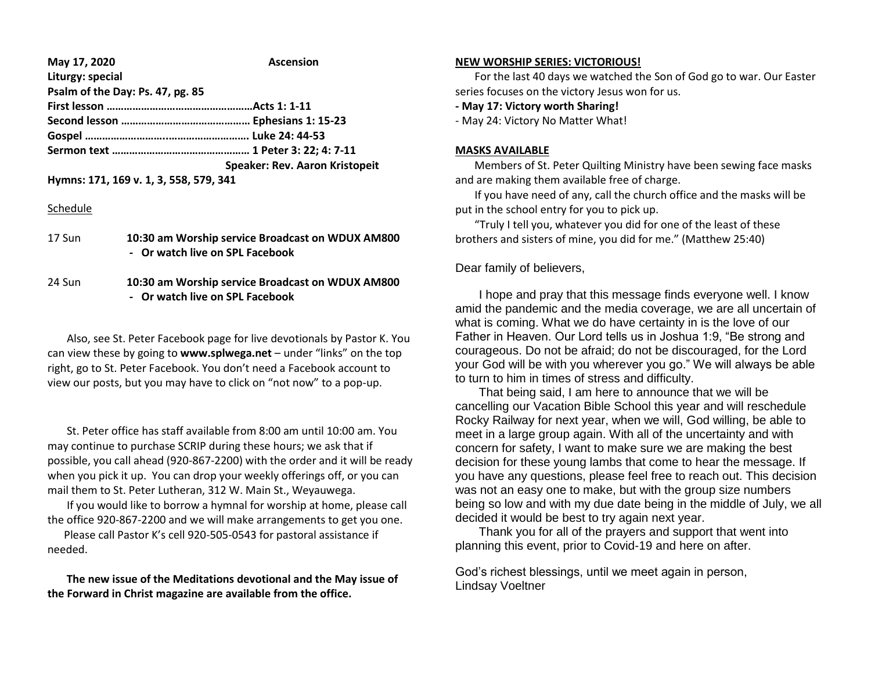| May 17, 2020                     | <b>Ascension</b>                      |
|----------------------------------|---------------------------------------|
| Liturgy: special                 |                                       |
| Psalm of the Day: Ps. 47, pg. 85 |                                       |
|                                  |                                       |
|                                  |                                       |
|                                  |                                       |
|                                  |                                       |
|                                  | <b>Speaker: Rev. Aaron Kristopeit</b> |

**Hymns: 171, 169 v. 1, 3, 558, 579, 341**

## Schedule

| 17 Sun | 10:30 am Worship service Broadcast on WDUX AM800 |
|--------|--------------------------------------------------|
|        | - Or watch live on SPL Facebook                  |
|        |                                                  |

24 Sun **10:30 am Worship service Broadcast on WDUX AM800 - Or watch live on SPL Facebook**

 Also, see St. Peter Facebook page for live devotionals by Pastor K. You can view these by going to **www.splwega.net** – under "links" on the top right, go to St. Peter Facebook. You don't need a Facebook account to view our posts, but you may have to click on "not now" to a pop-up.

 St. Peter office has staff available from 8:00 am until 10:00 am. You may continue to purchase SCRIP during these hours; we ask that if possible, you call ahead (920-867-2200) with the order and it will be ready when you pick it up. You can drop your weekly offerings off, or you can mail them to St. Peter Lutheran, 312 W. Main St., Weyauwega.

 If you would like to borrow a hymnal for worship at home, please call the office 920-867-2200 and we will make arrangements to get you one.

 Please call Pastor K's cell 920-505-0543 for pastoral assistance if needed.

 **The new issue of the Meditations devotional and the May issue of the Forward in Christ magazine are available from the office.**

## **NEW WORSHIP SERIES: VICTORIOUS!**

 For the last 40 days we watched the Son of God go to war. Our Easter series focuses on the victory Jesus won for us.

**- May 17: Victory worth Sharing!**

- May 24: Victory No Matter What!

### **MASKS AVAILABLE**

 Members of St. Peter Quilting Ministry have been sewing face masks and are making them available free of charge.

 If you have need of any, call the church office and the masks will be put in the school entry for you to pick up.

 "Truly I tell you, whatever you did for one of the least of these brothers and sisters of mine, you did for me." (Matthew 25:40)

# Dear family of believers,

 I hope and pray that this message finds everyone well. I know amid the pandemic and the media coverage, we are all uncertain of what is coming. What we do have certainty in is the love of our Father in Heaven. Our Lord tells us in Joshua 1:9, "Be strong and courageous. Do not be afraid; do not be discouraged, for the Lord your God will be with you wherever you go." We will always be able to turn to him in times of stress and difficulty.

 That being said, I am here to announce that we will be cancelling our Vacation Bible School this year and will reschedule Rocky Railway for next year, when we will, God willing, be able to meet in a large group again. With all of the uncertainty and with concern for safety, I want to make sure we are making the best decision for these young lambs that come to hear the message. If you have any questions, please feel free to reach out. This decision was not an easy one to make, but with the group size numbers being so low and with my due date being in the middle of July, we all decided it would be best to try again next year.

 Thank you for all of the prayers and support that went into planning this event, prior to Covid-19 and here on after.

God's richest blessings, until we meet again in person, Lindsay Voeltner